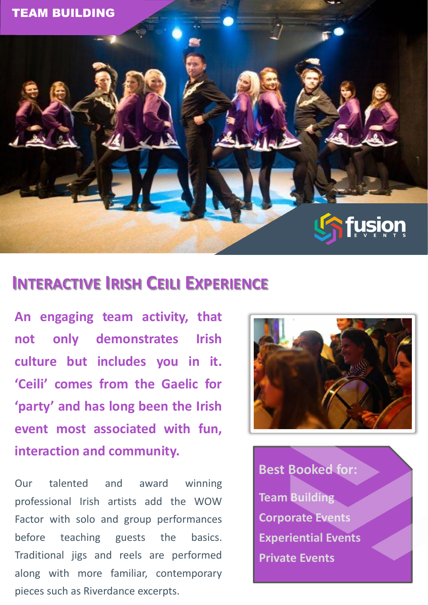

## **INTERACTIVE IRISH CEILI EXPERIENCE**

**An engaging team activity, that not only demonstrates Irish culture but includes you in it. 'Ceili' comes from the Gaelic for 'party' and has long been the Irish event most associated with fun, interaction and community.**

Our talented and award winning professional Irish artists add the WOW Factor with solo and group performances before teaching guests the basics. Traditional jigs and reels are performed along with more familiar, contemporary pieces such as Riverdance excerpts.



**Best Booked for: Team Building Corporate Events Experiential Events Private Events**